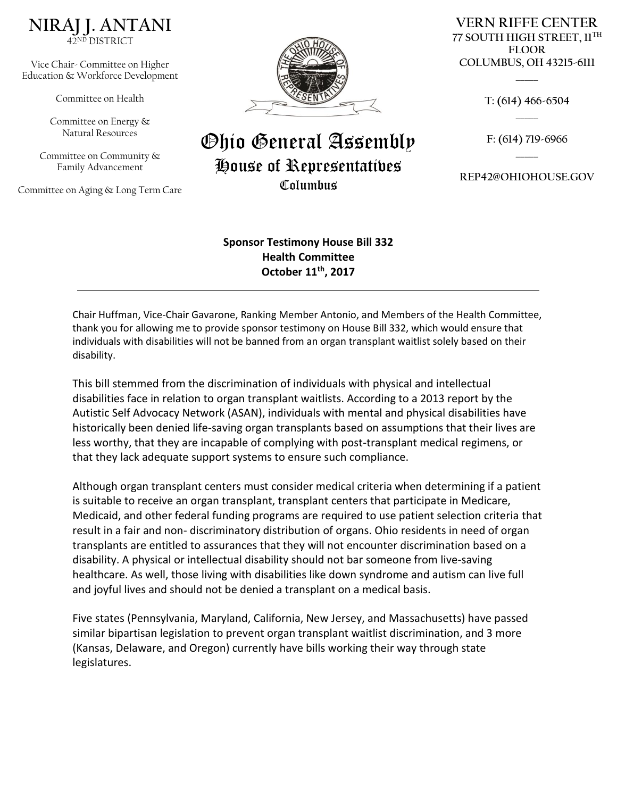

Vice Chair- Committee on Higher Education & Workforce Development

Committee on Health

Committee on Energy & Natural Resources

Committee on Community & Family Advancement

Committee on Aging & Long Term Care



## Ohio General Assembly House of Representatives Columbus

**VERN RIFFE CENTER 77 SOUTH HIGH STREET, 11TH FLOOR COLUMBUS, OH 43215-6111**

> **T: (614) 466-6504 \_\_\_\_\_**

**\_\_\_\_\_**

**F: (614) 719-6966 \_\_\_\_\_**

**REP42@OHIOHOUSE.GOV**

**Sponsor Testimony House Bill 332 Health Committee October 11th, 2017**

Chair Huffman, Vice-Chair Gavarone, Ranking Member Antonio, and Members of the Health Committee, thank you for allowing me to provide sponsor testimony on House Bill 332, which would ensure that individuals with disabilities will not be banned from an organ transplant waitlist solely based on their disability.

This bill stemmed from the discrimination of individuals with physical and intellectual disabilities face in relation to organ transplant waitlists. According to a 2013 report by the Autistic Self Advocacy Network (ASAN), individuals with mental and physical disabilities have historically been denied life-saving organ transplants based on assumptions that their lives are less worthy, that they are incapable of complying with post-transplant medical regimens, or that they lack adequate support systems to ensure such compliance.

Although organ transplant centers must consider medical criteria when determining if a patient is suitable to receive an organ transplant, transplant centers that participate in Medicare, Medicaid, and other federal funding programs are required to use patient selection criteria that result in a fair and non- discriminatory distribution of organs. Ohio residents in need of organ transplants are entitled to assurances that they will not encounter discrimination based on a disability. A physical or intellectual disability should not bar someone from live-saving healthcare. As well, those living with disabilities like down syndrome and autism can live full and joyful lives and should not be denied a transplant on a medical basis.

Five states (Pennsylvania, Maryland, California, New Jersey, and Massachusetts) have passed similar bipartisan legislation to prevent organ transplant waitlist discrimination, and 3 more (Kansas, Delaware, and Oregon) currently have bills working their way through state legislatures.